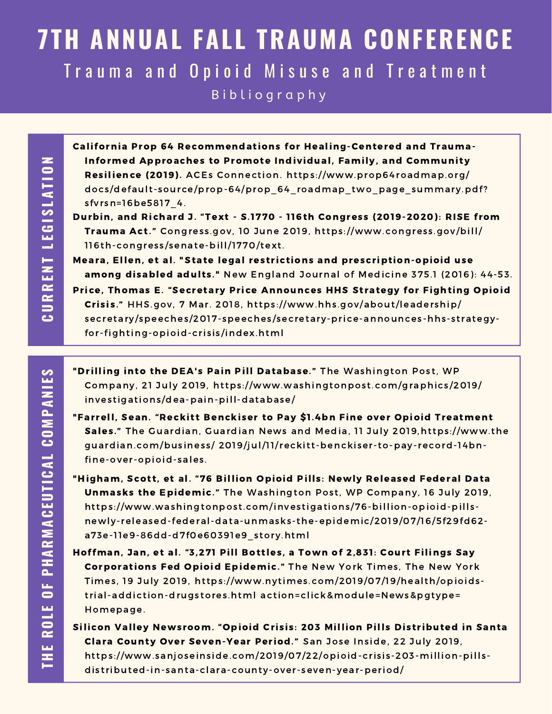## **7TH ANNUAL FALL TRAUMA CONFERENCE** Trauma and Opioid Misuse and Treatment B i b l i o g r a p h y

California Prop 64 Recommendations for Healing-Centered and Trauma-Informed Approaches to Promote Individual, Family, and Community Resilience (2019). ACEs Connection. https://www.prop64roadmap.org/ docs/default-[source/prop-64/prop\\_64\\_roadmap\\_two\\_page\\_summary.pdf](https://www.prop64roadmap.org/docs/default-source/prop-64/prop_64_roadmap_two_page_summary.pdf?sfvrsn=16be5817_4)? sfvrsn=16be5817 4.

- Durbin, and Richard J. "Text S.1770 116th Congress (2019-2020): RISE from Trauma Act." Congress.gov, 10 June 2019, https://www.congress.gov/bill/ 116th-congress/[senate-bill/1770/](https://www.congress.gov/bill/116th-congress/senate-bill/1770/text)text.
- Meara, Ellen, et al. "State legal restrictions and prescript[ion-opioid](https://www.nejm.org/doi/full/10.1056/NEJMsa1514387) use among disabled adults." New England Journal of Medicine 375.1 (2016): 44-53. Price, Thomas E. "Secretary Price Announces HHS Strategy for Fighting Opioid Crisis." HHS.gov, 7 Mar. 2018, https://www.hhs.gov/about/leadership/ secretary/speeches/2017-speeches/[secretary-price-announces](https://www.hhs.gov/about/leadership/secretary/speeches/2017-speeches/secretary-price-announces-hhs-strategy-for-fighting-opioid-crisis/index.html)-hhs-strategyfor-fighting-opioid-crisis/index.html
- "Drilling into the DEA's Pain Pill Database." The Washington Post, WP Company, 21 July 2019, https://www.washingtonpost.com/graphics/2019/ investigations[/dea-pain-pill-database/](https://www.washingtonpost.com/graphics/2019/investigations/dea-pain-pill-database/)
- "Farrell, Sean. "Reckitt Benckiser to Pay \$1.4bn Fine over Opioid Treatment Sales." The Guardian, Guardian News and Media, 11 July 2019,https://www.the guardian.com/business/ 2019/jul/11/reckitt-benckiser-[to-pay-record-14bn](https://www.theguardian.com/business/2019/jul/11/reckitt-benckiser-to-pay-record-14bn-fine-over-opioid-sales)fine-over-opioid-sales.
- "Higham, Scott, et al. "76 Billion Opioid Pills: Newly Released Federal Data Unmasks the Epidemic." The Washington Post, WP Company, 16 July 2019, https://www.washingtonpost.com/investigations/76-billion-opioid-pills[newly-released-federal-data-unmasks](https://www.washingtonpost.com/investigations/76-billion-opioid-pills-newly-released-federal-data-unmasks-the-epidemic/2019/07/16/5f29fd62-a73e-11e9-86dd-d7f0e60391e9_story.html) - the-epidemic/2019/07/16/5f29fd62 a73e-11e9-86dd-d7f0e60391e9\_s tory.html
- Hoffman, Jan, et al. "3,271 Pill Bottles, a Town of 2,831: Court Filings Say Corporations Fed Opioid Epidemic." The New York Times, The New York Times, 19 July 2019, https://www.nytimes.com/2019/07/19/health/opioidst rial-addict ion-drugs tores .html act [ion=click&module=News&pgtype=](https://www.nytimes.com/2019/07/19/health/opioids-trial-addiction-drugstores.html) Homepage.
- Silicon Valley Newsroom. "Opioid Crisis: 203 Million Pills Distributed in Santa Clara County Over Seven-Year Period." San Jose Inside, 22 July 2019, https://www.sanjoseins[ide.com/2019/07/22/opioid-cri](https://www.sanjoseinside.com/2019/07/22/opioid-crisis-203-million-pills-distributed-in-santa-clara-county-over-seven-year-period/)sis-203-million-pillsdistributed-in-santa-clara-county-over-seven-year-period/